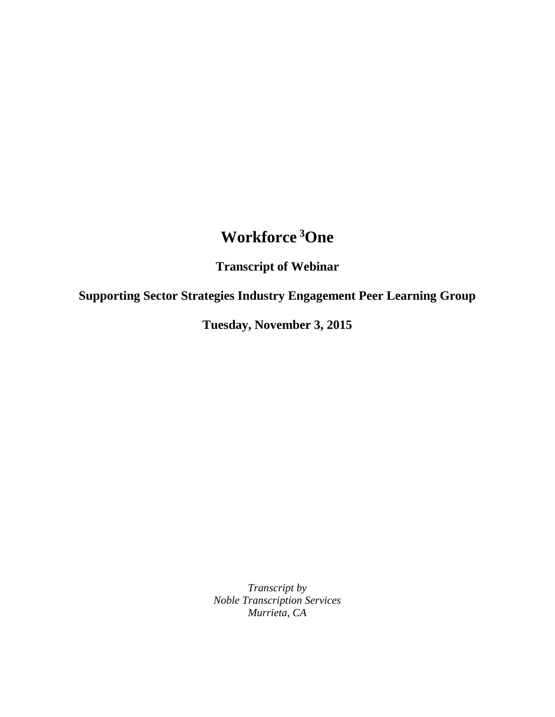## **Workforce <sup>3</sup>One**

**Transcript of Webinar**

**Supporting Sector Strategies Industry Engagement Peer Learning Group**

**Tuesday, November 3, 2015**

*Transcript by Noble Transcription Services Murrieta, CA*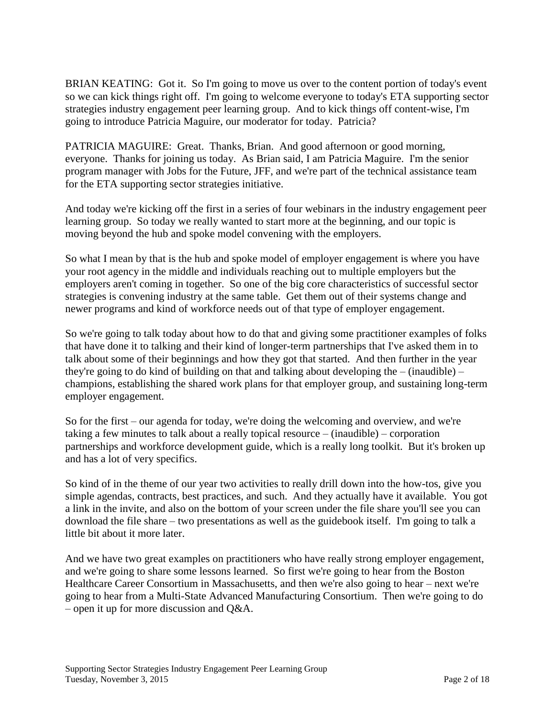BRIAN KEATING: Got it. So I'm going to move us over to the content portion of today's event so we can kick things right off. I'm going to welcome everyone to today's ETA supporting sector strategies industry engagement peer learning group. And to kick things off content-wise, I'm going to introduce Patricia Maguire, our moderator for today. Patricia?

PATRICIA MAGUIRE: Great. Thanks, Brian. And good afternoon or good morning, everyone. Thanks for joining us today. As Brian said, I am Patricia Maguire. I'm the senior program manager with Jobs for the Future, JFF, and we're part of the technical assistance team for the ETA supporting sector strategies initiative.

And today we're kicking off the first in a series of four webinars in the industry engagement peer learning group. So today we really wanted to start more at the beginning, and our topic is moving beyond the hub and spoke model convening with the employers.

So what I mean by that is the hub and spoke model of employer engagement is where you have your root agency in the middle and individuals reaching out to multiple employers but the employers aren't coming in together. So one of the big core characteristics of successful sector strategies is convening industry at the same table. Get them out of their systems change and newer programs and kind of workforce needs out of that type of employer engagement.

So we're going to talk today about how to do that and giving some practitioner examples of folks that have done it to talking and their kind of longer-term partnerships that I've asked them in to talk about some of their beginnings and how they got that started. And then further in the year they're going to do kind of building on that and talking about developing the  $-$  (inaudible)  $$ champions, establishing the shared work plans for that employer group, and sustaining long-term employer engagement.

So for the first – our agenda for today, we're doing the welcoming and overview, and we're taking a few minutes to talk about a really topical resource – (inaudible) – corporation partnerships and workforce development guide, which is a really long toolkit. But it's broken up and has a lot of very specifics.

So kind of in the theme of our year two activities to really drill down into the how-tos, give you simple agendas, contracts, best practices, and such. And they actually have it available. You got a link in the invite, and also on the bottom of your screen under the file share you'll see you can download the file share – two presentations as well as the guidebook itself. I'm going to talk a little bit about it more later.

And we have two great examples on practitioners who have really strong employer engagement, and we're going to share some lessons learned. So first we're going to hear from the Boston Healthcare Career Consortium in Massachusetts, and then we're also going to hear – next we're going to hear from a Multi-State Advanced Manufacturing Consortium. Then we're going to do – open it up for more discussion and Q&A.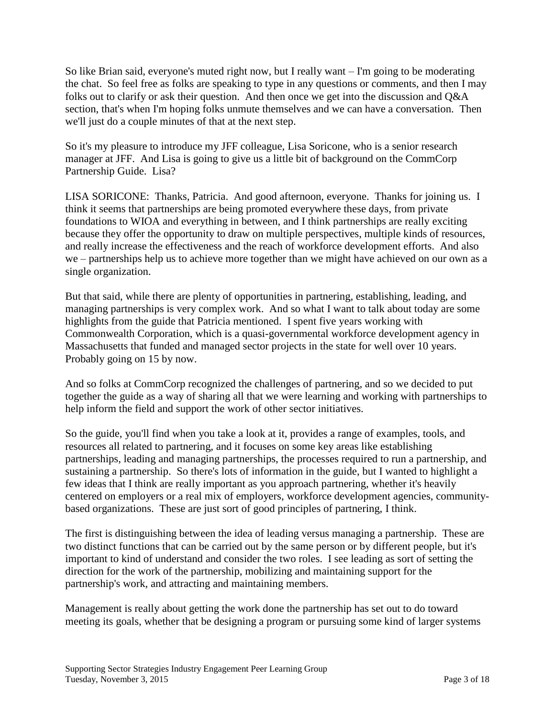So like Brian said, everyone's muted right now, but I really want – I'm going to be moderating the chat. So feel free as folks are speaking to type in any questions or comments, and then I may folks out to clarify or ask their question. And then once we get into the discussion and Q&A section, that's when I'm hoping folks unmute themselves and we can have a conversation. Then we'll just do a couple minutes of that at the next step.

So it's my pleasure to introduce my JFF colleague, Lisa Soricone, who is a senior research manager at JFF. And Lisa is going to give us a little bit of background on the CommCorp Partnership Guide. Lisa?

LISA SORICONE: Thanks, Patricia. And good afternoon, everyone. Thanks for joining us. I think it seems that partnerships are being promoted everywhere these days, from private foundations to WIOA and everything in between, and I think partnerships are really exciting because they offer the opportunity to draw on multiple perspectives, multiple kinds of resources, and really increase the effectiveness and the reach of workforce development efforts. And also we – partnerships help us to achieve more together than we might have achieved on our own as a single organization.

But that said, while there are plenty of opportunities in partnering, establishing, leading, and managing partnerships is very complex work. And so what I want to talk about today are some highlights from the guide that Patricia mentioned. I spent five years working with Commonwealth Corporation, which is a quasi-governmental workforce development agency in Massachusetts that funded and managed sector projects in the state for well over 10 years. Probably going on 15 by now.

And so folks at CommCorp recognized the challenges of partnering, and so we decided to put together the guide as a way of sharing all that we were learning and working with partnerships to help inform the field and support the work of other sector initiatives.

So the guide, you'll find when you take a look at it, provides a range of examples, tools, and resources all related to partnering, and it focuses on some key areas like establishing partnerships, leading and managing partnerships, the processes required to run a partnership, and sustaining a partnership. So there's lots of information in the guide, but I wanted to highlight a few ideas that I think are really important as you approach partnering, whether it's heavily centered on employers or a real mix of employers, workforce development agencies, communitybased organizations. These are just sort of good principles of partnering, I think.

The first is distinguishing between the idea of leading versus managing a partnership. These are two distinct functions that can be carried out by the same person or by different people, but it's important to kind of understand and consider the two roles. I see leading as sort of setting the direction for the work of the partnership, mobilizing and maintaining support for the partnership's work, and attracting and maintaining members.

Management is really about getting the work done the partnership has set out to do toward meeting its goals, whether that be designing a program or pursuing some kind of larger systems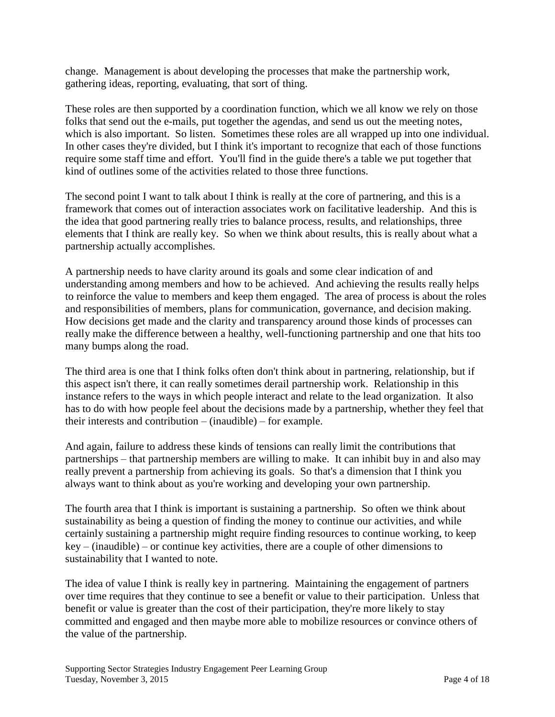change. Management is about developing the processes that make the partnership work, gathering ideas, reporting, evaluating, that sort of thing.

These roles are then supported by a coordination function, which we all know we rely on those folks that send out the e-mails, put together the agendas, and send us out the meeting notes, which is also important. So listen. Sometimes these roles are all wrapped up into one individual. In other cases they're divided, but I think it's important to recognize that each of those functions require some staff time and effort. You'll find in the guide there's a table we put together that kind of outlines some of the activities related to those three functions.

The second point I want to talk about I think is really at the core of partnering, and this is a framework that comes out of interaction associates work on facilitative leadership. And this is the idea that good partnering really tries to balance process, results, and relationships, three elements that I think are really key. So when we think about results, this is really about what a partnership actually accomplishes.

A partnership needs to have clarity around its goals and some clear indication of and understanding among members and how to be achieved. And achieving the results really helps to reinforce the value to members and keep them engaged. The area of process is about the roles and responsibilities of members, plans for communication, governance, and decision making. How decisions get made and the clarity and transparency around those kinds of processes can really make the difference between a healthy, well-functioning partnership and one that hits too many bumps along the road.

The third area is one that I think folks often don't think about in partnering, relationship, but if this aspect isn't there, it can really sometimes derail partnership work. Relationship in this instance refers to the ways in which people interact and relate to the lead organization. It also has to do with how people feel about the decisions made by a partnership, whether they feel that their interests and contribution – (inaudible) – for example.

And again, failure to address these kinds of tensions can really limit the contributions that partnerships – that partnership members are willing to make. It can inhibit buy in and also may really prevent a partnership from achieving its goals. So that's a dimension that I think you always want to think about as you're working and developing your own partnership.

The fourth area that I think is important is sustaining a partnership. So often we think about sustainability as being a question of finding the money to continue our activities, and while certainly sustaining a partnership might require finding resources to continue working, to keep key – (inaudible) – or continue key activities, there are a couple of other dimensions to sustainability that I wanted to note.

The idea of value I think is really key in partnering. Maintaining the engagement of partners over time requires that they continue to see a benefit or value to their participation. Unless that benefit or value is greater than the cost of their participation, they're more likely to stay committed and engaged and then maybe more able to mobilize resources or convince others of the value of the partnership.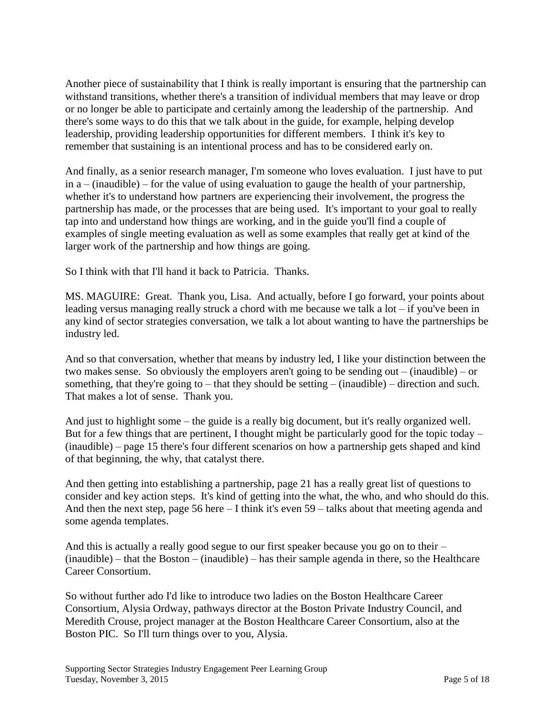Another piece of sustainability that I think is really important is ensuring that the partnership can withstand transitions, whether there's a transition of individual members that may leave or drop or no longer be able to participate and certainly among the leadership of the partnership. And there's some ways to do this that we talk about in the guide, for example, helping develop leadership, providing leadership opportunities for different members. I think it's key to remember that sustaining is an intentional process and has to be considered early on.

And finally, as a senior research manager, I'm someone who loves evaluation. I just have to put in a – (inaudible) – for the value of using evaluation to gauge the health of your partnership, whether it's to understand how partners are experiencing their involvement, the progress the partnership has made, or the processes that are being used. It's important to your goal to really tap into and understand how things are working, and in the guide you'll find a couple of examples of single meeting evaluation as well as some examples that really get at kind of the larger work of the partnership and how things are going.

So I think with that I'll hand it back to Patricia. Thanks.

MS. MAGUIRE: Great. Thank you, Lisa. And actually, before I go forward, your points about leading versus managing really struck a chord with me because we talk a lot – if you've been in any kind of sector strategies conversation, we talk a lot about wanting to have the partnerships be industry led.

And so that conversation, whether that means by industry led, I like your distinction between the two makes sense. So obviously the employers aren't going to be sending out – (inaudible) – or something, that they're going to – that they should be setting – (inaudible) – direction and such. That makes a lot of sense. Thank you.

And just to highlight some – the guide is a really big document, but it's really organized well. But for a few things that are pertinent, I thought might be particularly good for the topic today – (inaudible) – page 15 there's four different scenarios on how a partnership gets shaped and kind of that beginning, the why, that catalyst there.

And then getting into establishing a partnership, page 21 has a really great list of questions to consider and key action steps. It's kind of getting into the what, the who, and who should do this. And then the next step, page 56 here – I think it's even 59 – talks about that meeting agenda and some agenda templates.

And this is actually a really good segue to our first speaker because you go on to their – (inaudible) – that the Boston – (inaudible) – has their sample agenda in there, so the Healthcare Career Consortium.

So without further ado I'd like to introduce two ladies on the Boston Healthcare Career Consortium, Alysia Ordway, pathways director at the Boston Private Industry Council, and Meredith Crouse, project manager at the Boston Healthcare Career Consortium, also at the Boston PIC. So I'll turn things over to you, Alysia.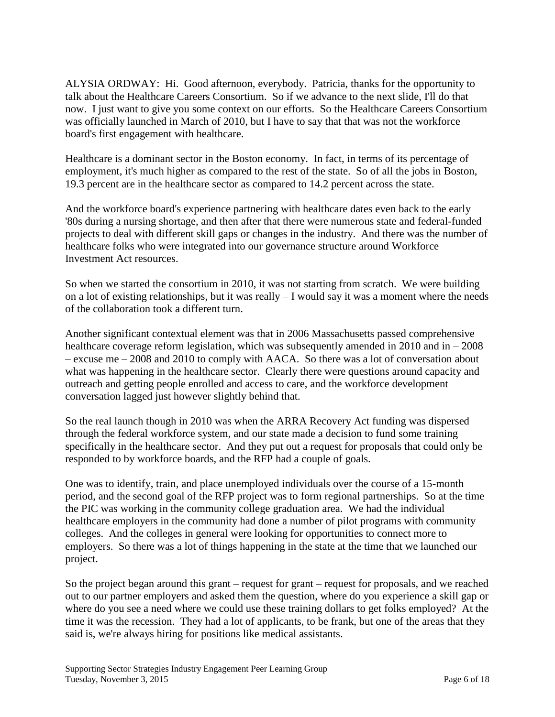ALYSIA ORDWAY: Hi. Good afternoon, everybody. Patricia, thanks for the opportunity to talk about the Healthcare Careers Consortium. So if we advance to the next slide, I'll do that now. I just want to give you some context on our efforts. So the Healthcare Careers Consortium was officially launched in March of 2010, but I have to say that that was not the workforce board's first engagement with healthcare.

Healthcare is a dominant sector in the Boston economy. In fact, in terms of its percentage of employment, it's much higher as compared to the rest of the state. So of all the jobs in Boston, 19.3 percent are in the healthcare sector as compared to 14.2 percent across the state.

And the workforce board's experience partnering with healthcare dates even back to the early '80s during a nursing shortage, and then after that there were numerous state and federal-funded projects to deal with different skill gaps or changes in the industry. And there was the number of healthcare folks who were integrated into our governance structure around Workforce Investment Act resources.

So when we started the consortium in 2010, it was not starting from scratch. We were building on a lot of existing relationships, but it was really – I would say it was a moment where the needs of the collaboration took a different turn.

Another significant contextual element was that in 2006 Massachusetts passed comprehensive healthcare coverage reform legislation, which was subsequently amended in  $2010$  and in  $-2008$ – excuse me – 2008 and 2010 to comply with AACA. So there was a lot of conversation about what was happening in the healthcare sector. Clearly there were questions around capacity and outreach and getting people enrolled and access to care, and the workforce development conversation lagged just however slightly behind that.

So the real launch though in 2010 was when the ARRA Recovery Act funding was dispersed through the federal workforce system, and our state made a decision to fund some training specifically in the healthcare sector. And they put out a request for proposals that could only be responded to by workforce boards, and the RFP had a couple of goals.

One was to identify, train, and place unemployed individuals over the course of a 15-month period, and the second goal of the RFP project was to form regional partnerships. So at the time the PIC was working in the community college graduation area. We had the individual healthcare employers in the community had done a number of pilot programs with community colleges. And the colleges in general were looking for opportunities to connect more to employers. So there was a lot of things happening in the state at the time that we launched our project.

So the project began around this grant – request for grant – request for proposals, and we reached out to our partner employers and asked them the question, where do you experience a skill gap or where do you see a need where we could use these training dollars to get folks employed? At the time it was the recession. They had a lot of applicants, to be frank, but one of the areas that they said is, we're always hiring for positions like medical assistants.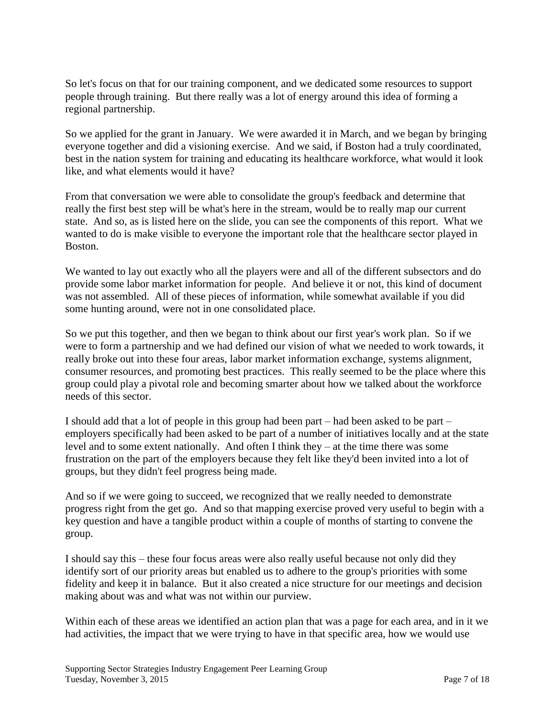So let's focus on that for our training component, and we dedicated some resources to support people through training. But there really was a lot of energy around this idea of forming a regional partnership.

So we applied for the grant in January. We were awarded it in March, and we began by bringing everyone together and did a visioning exercise. And we said, if Boston had a truly coordinated, best in the nation system for training and educating its healthcare workforce, what would it look like, and what elements would it have?

From that conversation we were able to consolidate the group's feedback and determine that really the first best step will be what's here in the stream, would be to really map our current state. And so, as is listed here on the slide, you can see the components of this report. What we wanted to do is make visible to everyone the important role that the healthcare sector played in Boston.

We wanted to lay out exactly who all the players were and all of the different subsectors and do provide some labor market information for people. And believe it or not, this kind of document was not assembled. All of these pieces of information, while somewhat available if you did some hunting around, were not in one consolidated place.

So we put this together, and then we began to think about our first year's work plan. So if we were to form a partnership and we had defined our vision of what we needed to work towards, it really broke out into these four areas, labor market information exchange, systems alignment, consumer resources, and promoting best practices. This really seemed to be the place where this group could play a pivotal role and becoming smarter about how we talked about the workforce needs of this sector.

I should add that a lot of people in this group had been part – had been asked to be part – employers specifically had been asked to be part of a number of initiatives locally and at the state level and to some extent nationally. And often I think they – at the time there was some frustration on the part of the employers because they felt like they'd been invited into a lot of groups, but they didn't feel progress being made.

And so if we were going to succeed, we recognized that we really needed to demonstrate progress right from the get go. And so that mapping exercise proved very useful to begin with a key question and have a tangible product within a couple of months of starting to convene the group.

I should say this – these four focus areas were also really useful because not only did they identify sort of our priority areas but enabled us to adhere to the group's priorities with some fidelity and keep it in balance. But it also created a nice structure for our meetings and decision making about was and what was not within our purview.

Within each of these areas we identified an action plan that was a page for each area, and in it we had activities, the impact that we were trying to have in that specific area, how we would use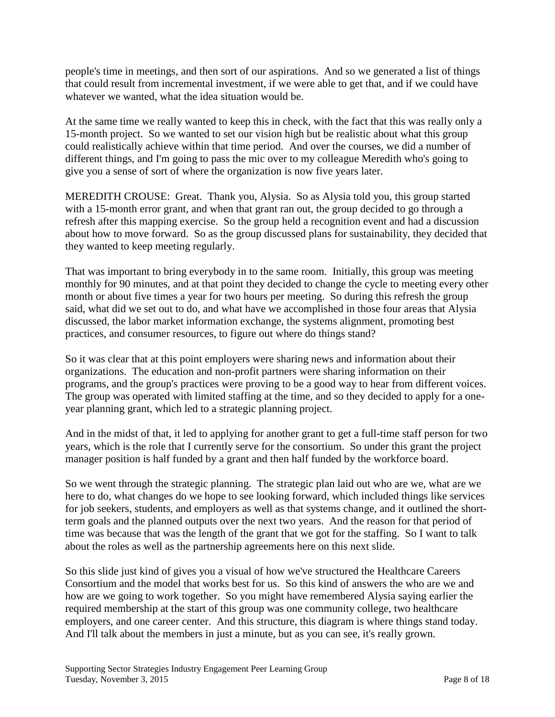people's time in meetings, and then sort of our aspirations. And so we generated a list of things that could result from incremental investment, if we were able to get that, and if we could have whatever we wanted, what the idea situation would be.

At the same time we really wanted to keep this in check, with the fact that this was really only a 15-month project. So we wanted to set our vision high but be realistic about what this group could realistically achieve within that time period. And over the courses, we did a number of different things, and I'm going to pass the mic over to my colleague Meredith who's going to give you a sense of sort of where the organization is now five years later.

MEREDITH CROUSE: Great. Thank you, Alysia. So as Alysia told you, this group started with a 15-month error grant, and when that grant ran out, the group decided to go through a refresh after this mapping exercise. So the group held a recognition event and had a discussion about how to move forward. So as the group discussed plans for sustainability, they decided that they wanted to keep meeting regularly.

That was important to bring everybody in to the same room. Initially, this group was meeting monthly for 90 minutes, and at that point they decided to change the cycle to meeting every other month or about five times a year for two hours per meeting. So during this refresh the group said, what did we set out to do, and what have we accomplished in those four areas that Alysia discussed, the labor market information exchange, the systems alignment, promoting best practices, and consumer resources, to figure out where do things stand?

So it was clear that at this point employers were sharing news and information about their organizations. The education and non-profit partners were sharing information on their programs, and the group's practices were proving to be a good way to hear from different voices. The group was operated with limited staffing at the time, and so they decided to apply for a oneyear planning grant, which led to a strategic planning project.

And in the midst of that, it led to applying for another grant to get a full-time staff person for two years, which is the role that I currently serve for the consortium. So under this grant the project manager position is half funded by a grant and then half funded by the workforce board.

So we went through the strategic planning. The strategic plan laid out who are we, what are we here to do, what changes do we hope to see looking forward, which included things like services for job seekers, students, and employers as well as that systems change, and it outlined the shortterm goals and the planned outputs over the next two years. And the reason for that period of time was because that was the length of the grant that we got for the staffing. So I want to talk about the roles as well as the partnership agreements here on this next slide.

So this slide just kind of gives you a visual of how we've structured the Healthcare Careers Consortium and the model that works best for us. So this kind of answers the who are we and how are we going to work together. So you might have remembered Alysia saying earlier the required membership at the start of this group was one community college, two healthcare employers, and one career center. And this structure, this diagram is where things stand today. And I'll talk about the members in just a minute, but as you can see, it's really grown.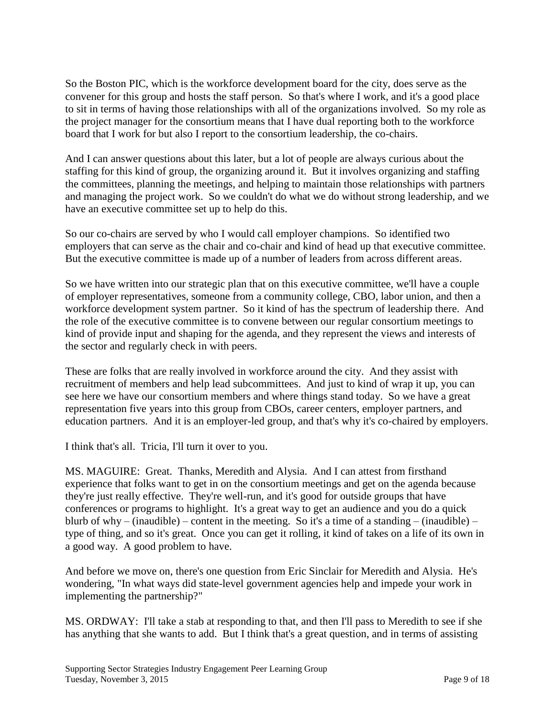So the Boston PIC, which is the workforce development board for the city, does serve as the convener for this group and hosts the staff person. So that's where I work, and it's a good place to sit in terms of having those relationships with all of the organizations involved. So my role as the project manager for the consortium means that I have dual reporting both to the workforce board that I work for but also I report to the consortium leadership, the co-chairs.

And I can answer questions about this later, but a lot of people are always curious about the staffing for this kind of group, the organizing around it. But it involves organizing and staffing the committees, planning the meetings, and helping to maintain those relationships with partners and managing the project work. So we couldn't do what we do without strong leadership, and we have an executive committee set up to help do this.

So our co-chairs are served by who I would call employer champions. So identified two employers that can serve as the chair and co-chair and kind of head up that executive committee. But the executive committee is made up of a number of leaders from across different areas.

So we have written into our strategic plan that on this executive committee, we'll have a couple of employer representatives, someone from a community college, CBO, labor union, and then a workforce development system partner. So it kind of has the spectrum of leadership there. And the role of the executive committee is to convene between our regular consortium meetings to kind of provide input and shaping for the agenda, and they represent the views and interests of the sector and regularly check in with peers.

These are folks that are really involved in workforce around the city. And they assist with recruitment of members and help lead subcommittees. And just to kind of wrap it up, you can see here we have our consortium members and where things stand today. So we have a great representation five years into this group from CBOs, career centers, employer partners, and education partners. And it is an employer-led group, and that's why it's co-chaired by employers.

I think that's all. Tricia, I'll turn it over to you.

MS. MAGUIRE: Great. Thanks, Meredith and Alysia. And I can attest from firsthand experience that folks want to get in on the consortium meetings and get on the agenda because they're just really effective. They're well-run, and it's good for outside groups that have conferences or programs to highlight. It's a great way to get an audience and you do a quick blurb of why – (inaudible) – content in the meeting. So it's a time of a standing – (inaudible) – type of thing, and so it's great. Once you can get it rolling, it kind of takes on a life of its own in a good way. A good problem to have.

And before we move on, there's one question from Eric Sinclair for Meredith and Alysia. He's wondering, "In what ways did state-level government agencies help and impede your work in implementing the partnership?"

MS. ORDWAY: I'll take a stab at responding to that, and then I'll pass to Meredith to see if she has anything that she wants to add. But I think that's a great question, and in terms of assisting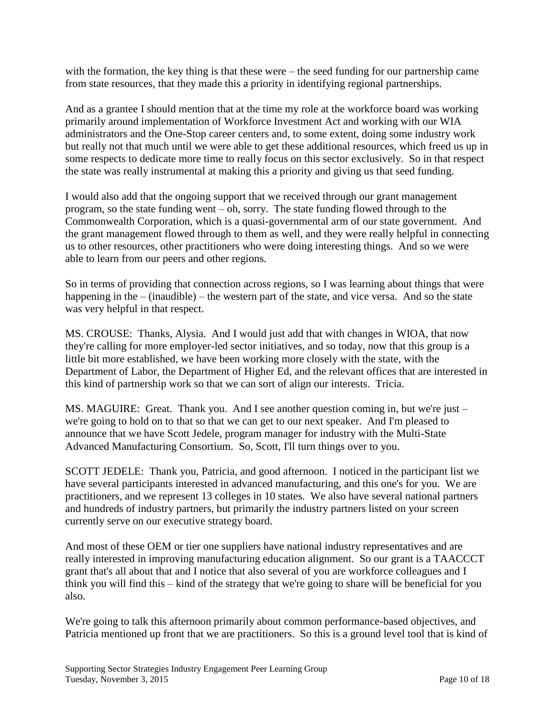with the formation, the key thing is that these were – the seed funding for our partnership came from state resources, that they made this a priority in identifying regional partnerships.

And as a grantee I should mention that at the time my role at the workforce board was working primarily around implementation of Workforce Investment Act and working with our WIA administrators and the One-Stop career centers and, to some extent, doing some industry work but really not that much until we were able to get these additional resources, which freed us up in some respects to dedicate more time to really focus on this sector exclusively. So in that respect the state was really instrumental at making this a priority and giving us that seed funding.

I would also add that the ongoing support that we received through our grant management program, so the state funding went – oh, sorry. The state funding flowed through to the Commonwealth Corporation, which is a quasi-governmental arm of our state government. And the grant management flowed through to them as well, and they were really helpful in connecting us to other resources, other practitioners who were doing interesting things. And so we were able to learn from our peers and other regions.

So in terms of providing that connection across regions, so I was learning about things that were happening in the – (inaudible) – the western part of the state, and vice versa. And so the state was very helpful in that respect.

MS. CROUSE: Thanks, Alysia. And I would just add that with changes in WIOA, that now they're calling for more employer-led sector initiatives, and so today, now that this group is a little bit more established, we have been working more closely with the state, with the Department of Labor, the Department of Higher Ed, and the relevant offices that are interested in this kind of partnership work so that we can sort of align our interests. Tricia.

MS. MAGUIRE: Great. Thank you. And I see another question coming in, but we're just – we're going to hold on to that so that we can get to our next speaker. And I'm pleased to announce that we have Scott Jedele, program manager for industry with the Multi-State Advanced Manufacturing Consortium. So, Scott, I'll turn things over to you.

SCOTT JEDELE: Thank you, Patricia, and good afternoon. I noticed in the participant list we have several participants interested in advanced manufacturing, and this one's for you. We are practitioners, and we represent 13 colleges in 10 states. We also have several national partners and hundreds of industry partners, but primarily the industry partners listed on your screen currently serve on our executive strategy board.

And most of these OEM or tier one suppliers have national industry representatives and are really interested in improving manufacturing education alignment. So our grant is a TAACCCT grant that's all about that and I notice that also several of you are workforce colleagues and I think you will find this – kind of the strategy that we're going to share will be beneficial for you also.

We're going to talk this afternoon primarily about common performance-based objectives, and Patricia mentioned up front that we are practitioners. So this is a ground level tool that is kind of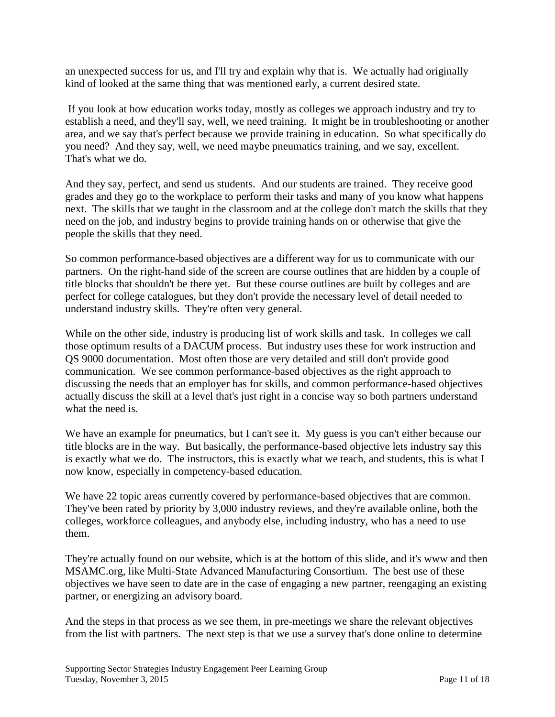an unexpected success for us, and I'll try and explain why that is. We actually had originally kind of looked at the same thing that was mentioned early, a current desired state.

If you look at how education works today, mostly as colleges we approach industry and try to establish a need, and they'll say, well, we need training. It might be in troubleshooting or another area, and we say that's perfect because we provide training in education. So what specifically do you need? And they say, well, we need maybe pneumatics training, and we say, excellent. That's what we do.

And they say, perfect, and send us students. And our students are trained. They receive good grades and they go to the workplace to perform their tasks and many of you know what happens next. The skills that we taught in the classroom and at the college don't match the skills that they need on the job, and industry begins to provide training hands on or otherwise that give the people the skills that they need.

So common performance-based objectives are a different way for us to communicate with our partners. On the right-hand side of the screen are course outlines that are hidden by a couple of title blocks that shouldn't be there yet. But these course outlines are built by colleges and are perfect for college catalogues, but they don't provide the necessary level of detail needed to understand industry skills. They're often very general.

While on the other side, industry is producing list of work skills and task. In colleges we call those optimum results of a DACUM process. But industry uses these for work instruction and QS 9000 documentation. Most often those are very detailed and still don't provide good communication. We see common performance-based objectives as the right approach to discussing the needs that an employer has for skills, and common performance-based objectives actually discuss the skill at a level that's just right in a concise way so both partners understand what the need is.

We have an example for pneumatics, but I can't see it. My guess is you can't either because our title blocks are in the way. But basically, the performance-based objective lets industry say this is exactly what we do. The instructors, this is exactly what we teach, and students, this is what I now know, especially in competency-based education.

We have 22 topic areas currently covered by performance-based objectives that are common. They've been rated by priority by 3,000 industry reviews, and they're available online, both the colleges, workforce colleagues, and anybody else, including industry, who has a need to use them.

They're actually found on our website, which is at the bottom of this slide, and it's www and then MSAMC.org, like Multi-State Advanced Manufacturing Consortium. The best use of these objectives we have seen to date are in the case of engaging a new partner, reengaging an existing partner, or energizing an advisory board.

And the steps in that process as we see them, in pre-meetings we share the relevant objectives from the list with partners. The next step is that we use a survey that's done online to determine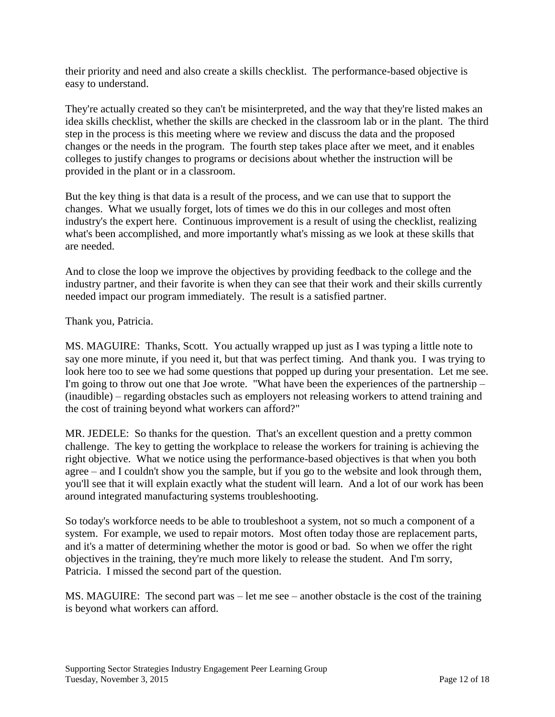their priority and need and also create a skills checklist. The performance-based objective is easy to understand.

They're actually created so they can't be misinterpreted, and the way that they're listed makes an idea skills checklist, whether the skills are checked in the classroom lab or in the plant. The third step in the process is this meeting where we review and discuss the data and the proposed changes or the needs in the program. The fourth step takes place after we meet, and it enables colleges to justify changes to programs or decisions about whether the instruction will be provided in the plant or in a classroom.

But the key thing is that data is a result of the process, and we can use that to support the changes. What we usually forget, lots of times we do this in our colleges and most often industry's the expert here. Continuous improvement is a result of using the checklist, realizing what's been accomplished, and more importantly what's missing as we look at these skills that are needed.

And to close the loop we improve the objectives by providing feedback to the college and the industry partner, and their favorite is when they can see that their work and their skills currently needed impact our program immediately. The result is a satisfied partner.

Thank you, Patricia.

MS. MAGUIRE: Thanks, Scott. You actually wrapped up just as I was typing a little note to say one more minute, if you need it, but that was perfect timing. And thank you. I was trying to look here too to see we had some questions that popped up during your presentation. Let me see. I'm going to throw out one that Joe wrote. "What have been the experiences of the partnership – (inaudible) – regarding obstacles such as employers not releasing workers to attend training and the cost of training beyond what workers can afford?"

MR. JEDELE: So thanks for the question. That's an excellent question and a pretty common challenge. The key to getting the workplace to release the workers for training is achieving the right objective. What we notice using the performance-based objectives is that when you both agree – and I couldn't show you the sample, but if you go to the website and look through them, you'll see that it will explain exactly what the student will learn. And a lot of our work has been around integrated manufacturing systems troubleshooting.

So today's workforce needs to be able to troubleshoot a system, not so much a component of a system. For example, we used to repair motors. Most often today those are replacement parts, and it's a matter of determining whether the motor is good or bad. So when we offer the right objectives in the training, they're much more likely to release the student. And I'm sorry, Patricia. I missed the second part of the question.

MS. MAGUIRE: The second part was – let me see – another obstacle is the cost of the training is beyond what workers can afford.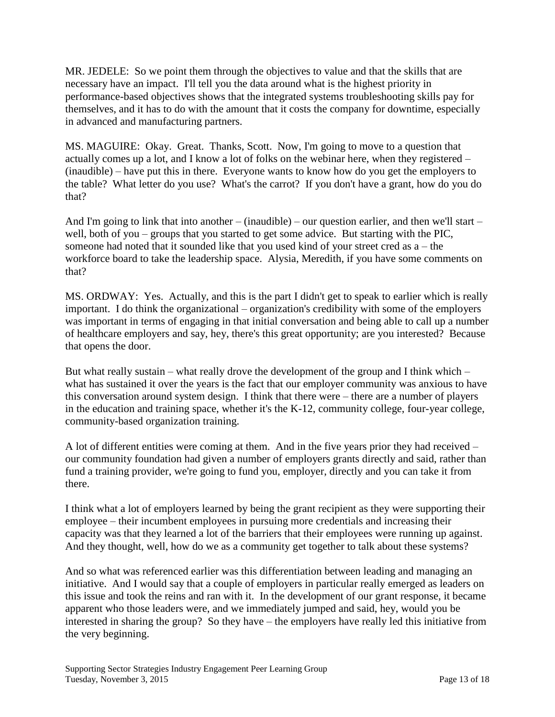MR. JEDELE: So we point them through the objectives to value and that the skills that are necessary have an impact. I'll tell you the data around what is the highest priority in performance-based objectives shows that the integrated systems troubleshooting skills pay for themselves, and it has to do with the amount that it costs the company for downtime, especially in advanced and manufacturing partners.

MS. MAGUIRE: Okay. Great. Thanks, Scott. Now, I'm going to move to a question that actually comes up a lot, and I know a lot of folks on the webinar here, when they registered – (inaudible) – have put this in there. Everyone wants to know how do you get the employers to the table? What letter do you use? What's the carrot? If you don't have a grant, how do you do that?

And I'm going to link that into another – (inaudible) – our question earlier, and then we'll start – well, both of you – groups that you started to get some advice. But starting with the PIC, someone had noted that it sounded like that you used kind of your street cred as a – the workforce board to take the leadership space. Alysia, Meredith, if you have some comments on that?

MS. ORDWAY: Yes. Actually, and this is the part I didn't get to speak to earlier which is really important. I do think the organizational – organization's credibility with some of the employers was important in terms of engaging in that initial conversation and being able to call up a number of healthcare employers and say, hey, there's this great opportunity; are you interested? Because that opens the door.

But what really sustain – what really drove the development of the group and I think which – what has sustained it over the years is the fact that our employer community was anxious to have this conversation around system design. I think that there were – there are a number of players in the education and training space, whether it's the K-12, community college, four-year college, community-based organization training.

A lot of different entities were coming at them. And in the five years prior they had received – our community foundation had given a number of employers grants directly and said, rather than fund a training provider, we're going to fund you, employer, directly and you can take it from there.

I think what a lot of employers learned by being the grant recipient as they were supporting their employee – their incumbent employees in pursuing more credentials and increasing their capacity was that they learned a lot of the barriers that their employees were running up against. And they thought, well, how do we as a community get together to talk about these systems?

And so what was referenced earlier was this differentiation between leading and managing an initiative. And I would say that a couple of employers in particular really emerged as leaders on this issue and took the reins and ran with it. In the development of our grant response, it became apparent who those leaders were, and we immediately jumped and said, hey, would you be interested in sharing the group? So they have – the employers have really led this initiative from the very beginning.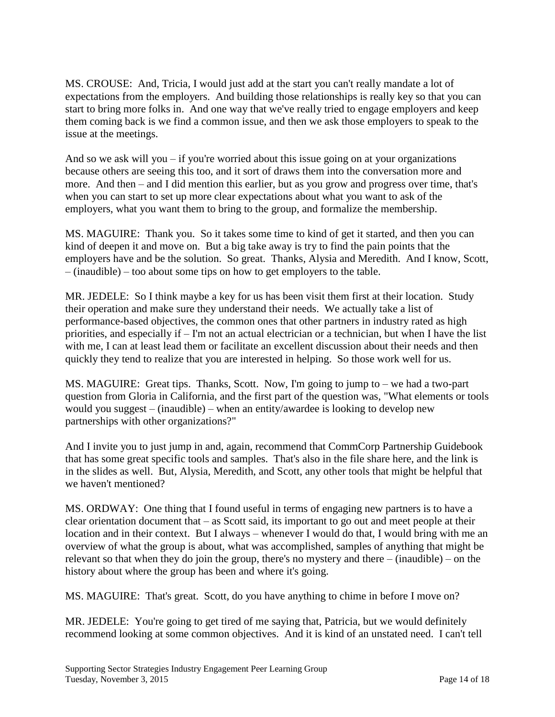MS. CROUSE: And, Tricia, I would just add at the start you can't really mandate a lot of expectations from the employers. And building those relationships is really key so that you can start to bring more folks in. And one way that we've really tried to engage employers and keep them coming back is we find a common issue, and then we ask those employers to speak to the issue at the meetings.

And so we ask will you  $-$  if you're worried about this issue going on at your organizations because others are seeing this too, and it sort of draws them into the conversation more and more. And then – and I did mention this earlier, but as you grow and progress over time, that's when you can start to set up more clear expectations about what you want to ask of the employers, what you want them to bring to the group, and formalize the membership.

MS. MAGUIRE: Thank you. So it takes some time to kind of get it started, and then you can kind of deepen it and move on. But a big take away is try to find the pain points that the employers have and be the solution. So great. Thanks, Alysia and Meredith. And I know, Scott, – (inaudible) – too about some tips on how to get employers to the table.

MR. JEDELE: So I think maybe a key for us has been visit them first at their location. Study their operation and make sure they understand their needs. We actually take a list of performance-based objectives, the common ones that other partners in industry rated as high priorities, and especially if – I'm not an actual electrician or a technician, but when I have the list with me, I can at least lead them or facilitate an excellent discussion about their needs and then quickly they tend to realize that you are interested in helping. So those work well for us.

MS. MAGUIRE: Great tips. Thanks, Scott. Now, I'm going to jump to – we had a two-part question from Gloria in California, and the first part of the question was, "What elements or tools would you suggest – (inaudible) – when an entity/awardee is looking to develop new partnerships with other organizations?"

And I invite you to just jump in and, again, recommend that CommCorp Partnership Guidebook that has some great specific tools and samples. That's also in the file share here, and the link is in the slides as well. But, Alysia, Meredith, and Scott, any other tools that might be helpful that we haven't mentioned?

MS. ORDWAY: One thing that I found useful in terms of engaging new partners is to have a clear orientation document that – as Scott said, its important to go out and meet people at their location and in their context. But I always – whenever I would do that, I would bring with me an overview of what the group is about, what was accomplished, samples of anything that might be relevant so that when they do join the group, there's no mystery and there – (inaudible) – on the history about where the group has been and where it's going.

MS. MAGUIRE: That's great. Scott, do you have anything to chime in before I move on?

MR. JEDELE: You're going to get tired of me saying that, Patricia, but we would definitely recommend looking at some common objectives. And it is kind of an unstated need. I can't tell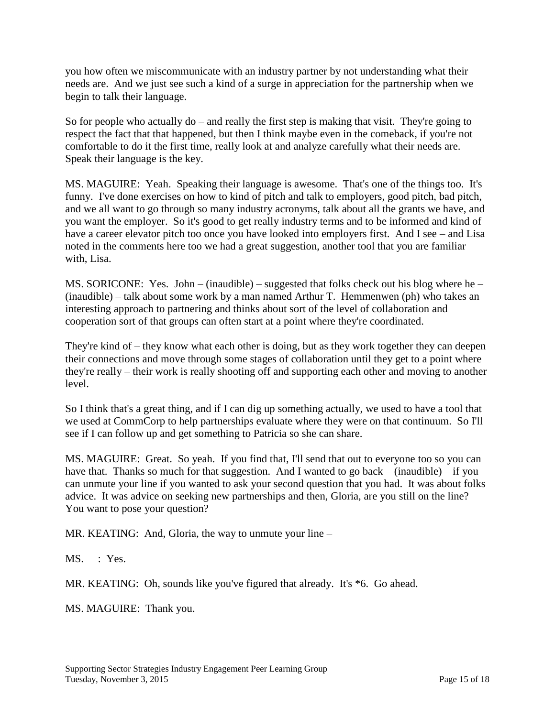you how often we miscommunicate with an industry partner by not understanding what their needs are. And we just see such a kind of a surge in appreciation for the partnership when we begin to talk their language.

So for people who actually  $d\rho$  – and really the first step is making that visit. They're going to respect the fact that that happened, but then I think maybe even in the comeback, if you're not comfortable to do it the first time, really look at and analyze carefully what their needs are. Speak their language is the key.

MS. MAGUIRE: Yeah. Speaking their language is awesome. That's one of the things too. It's funny. I've done exercises on how to kind of pitch and talk to employers, good pitch, bad pitch, and we all want to go through so many industry acronyms, talk about all the grants we have, and you want the employer. So it's good to get really industry terms and to be informed and kind of have a career elevator pitch too once you have looked into employers first. And I see – and Lisa noted in the comments here too we had a great suggestion, another tool that you are familiar with, Lisa.

MS. SORICONE: Yes. John – (inaudible) – suggested that folks check out his blog where he – (inaudible) – talk about some work by a man named Arthur T. Hemmenwen (ph) who takes an interesting approach to partnering and thinks about sort of the level of collaboration and cooperation sort of that groups can often start at a point where they're coordinated.

They're kind of – they know what each other is doing, but as they work together they can deepen their connections and move through some stages of collaboration until they get to a point where they're really – their work is really shooting off and supporting each other and moving to another level.

So I think that's a great thing, and if I can dig up something actually, we used to have a tool that we used at CommCorp to help partnerships evaluate where they were on that continuum. So I'll see if I can follow up and get something to Patricia so she can share.

MS. MAGUIRE: Great. So yeah. If you find that, I'll send that out to everyone too so you can have that. Thanks so much for that suggestion. And I wanted to go back – (inaudible) – if you can unmute your line if you wanted to ask your second question that you had. It was about folks advice. It was advice on seeking new partnerships and then, Gloria, are you still on the line? You want to pose your question?

MR. KEATING: And, Gloria, the way to unmute your line –

MS. : Yes.

MR. KEATING: Oh, sounds like you've figured that already. It's \*6. Go ahead.

MS. MAGUIRE: Thank you.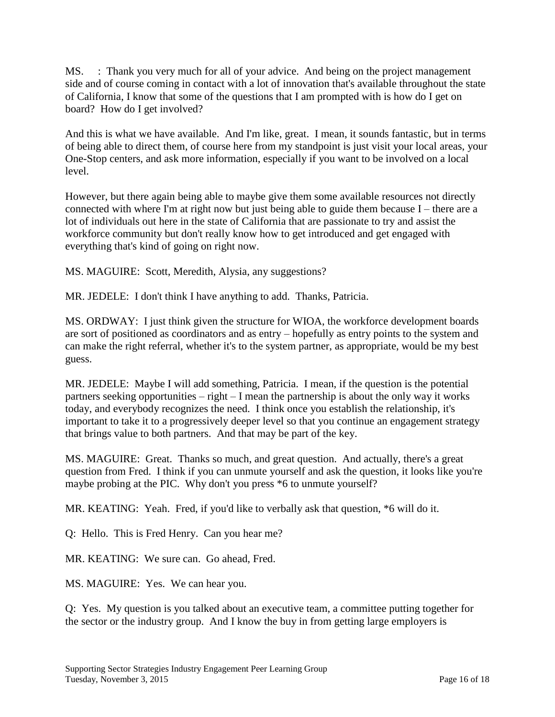MS. : Thank you very much for all of your advice. And being on the project management side and of course coming in contact with a lot of innovation that's available throughout the state of California, I know that some of the questions that I am prompted with is how do I get on board? How do I get involved?

And this is what we have available. And I'm like, great. I mean, it sounds fantastic, but in terms of being able to direct them, of course here from my standpoint is just visit your local areas, your One-Stop centers, and ask more information, especially if you want to be involved on a local level.

However, but there again being able to maybe give them some available resources not directly connected with where I'm at right now but just being able to guide them because I – there are a lot of individuals out here in the state of California that are passionate to try and assist the workforce community but don't really know how to get introduced and get engaged with everything that's kind of going on right now.

MS. MAGUIRE: Scott, Meredith, Alysia, any suggestions?

MR. JEDELE: I don't think I have anything to add. Thanks, Patricia.

MS. ORDWAY: I just think given the structure for WIOA, the workforce development boards are sort of positioned as coordinators and as entry – hopefully as entry points to the system and can make the right referral, whether it's to the system partner, as appropriate, would be my best guess.

MR. JEDELE: Maybe I will add something, Patricia. I mean, if the question is the potential partners seeking opportunities – right – I mean the partnership is about the only way it works today, and everybody recognizes the need. I think once you establish the relationship, it's important to take it to a progressively deeper level so that you continue an engagement strategy that brings value to both partners. And that may be part of the key.

MS. MAGUIRE: Great. Thanks so much, and great question. And actually, there's a great question from Fred. I think if you can unmute yourself and ask the question, it looks like you're maybe probing at the PIC. Why don't you press \*6 to unmute yourself?

MR. KEATING: Yeah. Fred, if you'd like to verbally ask that question, \*6 will do it.

Q: Hello. This is Fred Henry. Can you hear me?

MR. KEATING: We sure can. Go ahead, Fred.

MS. MAGUIRE: Yes. We can hear you.

Q: Yes. My question is you talked about an executive team, a committee putting together for the sector or the industry group. And I know the buy in from getting large employers is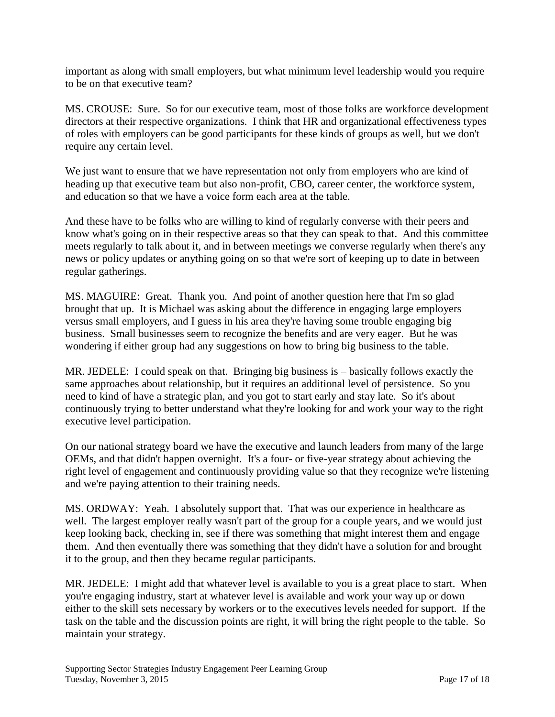important as along with small employers, but what minimum level leadership would you require to be on that executive team?

MS. CROUSE: Sure. So for our executive team, most of those folks are workforce development directors at their respective organizations. I think that HR and organizational effectiveness types of roles with employers can be good participants for these kinds of groups as well, but we don't require any certain level.

We just want to ensure that we have representation not only from employers who are kind of heading up that executive team but also non-profit, CBO, career center, the workforce system, and education so that we have a voice form each area at the table.

And these have to be folks who are willing to kind of regularly converse with their peers and know what's going on in their respective areas so that they can speak to that. And this committee meets regularly to talk about it, and in between meetings we converse regularly when there's any news or policy updates or anything going on so that we're sort of keeping up to date in between regular gatherings.

MS. MAGUIRE: Great. Thank you. And point of another question here that I'm so glad brought that up. It is Michael was asking about the difference in engaging large employers versus small employers, and I guess in his area they're having some trouble engaging big business. Small businesses seem to recognize the benefits and are very eager. But he was wondering if either group had any suggestions on how to bring big business to the table.

MR. JEDELE: I could speak on that. Bringing big business is – basically follows exactly the same approaches about relationship, but it requires an additional level of persistence. So you need to kind of have a strategic plan, and you got to start early and stay late. So it's about continuously trying to better understand what they're looking for and work your way to the right executive level participation.

On our national strategy board we have the executive and launch leaders from many of the large OEMs, and that didn't happen overnight. It's a four- or five-year strategy about achieving the right level of engagement and continuously providing value so that they recognize we're listening and we're paying attention to their training needs.

MS. ORDWAY: Yeah. I absolutely support that. That was our experience in healthcare as well. The largest employer really wasn't part of the group for a couple years, and we would just keep looking back, checking in, see if there was something that might interest them and engage them. And then eventually there was something that they didn't have a solution for and brought it to the group, and then they became regular participants.

MR. JEDELE: I might add that whatever level is available to you is a great place to start. When you're engaging industry, start at whatever level is available and work your way up or down either to the skill sets necessary by workers or to the executives levels needed for support. If the task on the table and the discussion points are right, it will bring the right people to the table. So maintain your strategy.